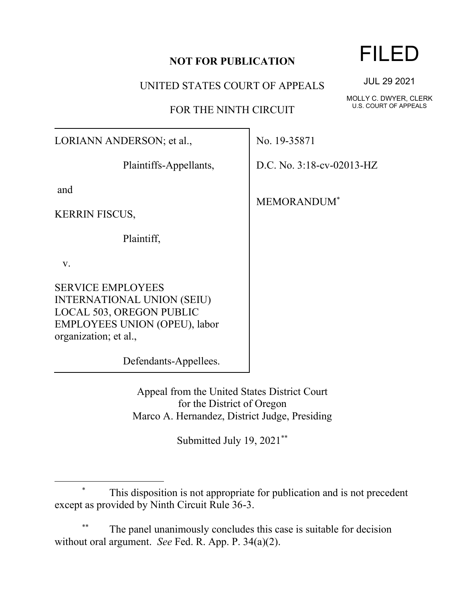## **NOT FOR PUBLICATION**

UNITED STATES COURT OF APPEALS

FOR THE NINTH CIRCUIT

LORIANN ANDERSON; et al.,

Plaintiffs-Appellants,

and

KERRIN FISCUS,

Plaintiff,

v.

SERVICE EMPLOYEES INTERNATIONAL UNION (SEIU) LOCAL 503, OREGON PUBLIC EMPLOYEES UNION (OPEU), labor organization; et al.,

Defendants-Appellees.

Appeal from the United States District Court for the District of Oregon Marco A. Hernandez, District Judge, Presiding

Submitted July 19, 2021\*\*

## \* This disposition is not appropriate for publication and is not precedent except as provided by Ninth Circuit Rule 36-3.

The panel unanimously concludes this case is suitable for decision without oral argument. *See* Fed. R. App. P. 34(a)(2).

## FILED

JUL 29 2021

MOLLY C. DWYER, CLERK U.S. COURT OF APPEALS

No. 19-35871

D.C. No. 3:18-cv-02013-HZ

MEMORANDUM\*